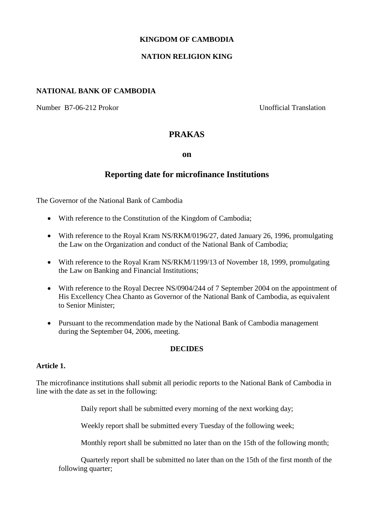# **KINGDOM OF CAMBODIA**

# **NATION RELIGION KING**

# **NATIONAL BANK OF CAMBODIA**

Number B7-06-212 Prokor Unofficial Translation

# **PRAKAS**

**on**

# **Reporting date for microfinance Institutions**

The Governor of the National Bank of Cambodia

- With reference to the Constitution of the Kingdom of Cambodia;
- With reference to the Royal Kram NS/RKM/0196/27, dated January 26, 1996, promulgating the Law on the Organization and conduct of the National Bank of Cambodia;
- With reference to the Royal Kram NS/RKM/1199/13 of November 18, 1999, promulgating the Law on Banking and Financial Institutions;
- With reference to the Royal Decree NS/0904/244 of 7 September 2004 on the appointment of His Excellency Chea Chanto as Governor of the National Bank of Cambodia, as equivalent to Senior Minister;
- Pursuant to the recommendation made by the National Bank of Cambodia management during the September 04, 2006, meeting.

#### **DECIDES**

#### **Article 1.**

The microfinance institutions shall submit all periodic reports to the National Bank of Cambodia in line with the date as set in the following:

Daily report shall be submitted every morning of the next working day;

Weekly report shall be submitted every Tuesday of the following week;

Monthly report shall be submitted no later than on the 15th of the following month;

Quarterly report shall be submitted no later than on the 15th of the first month of the following quarter;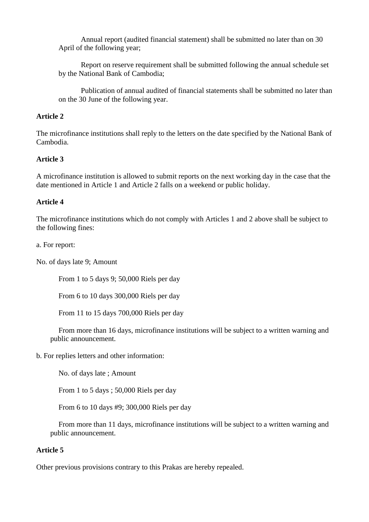Annual report (audited financial statement) shall be submitted no later than on 30 April of the following year;

Report on reserve requirement shall be submitted following the annual schedule set by the National Bank of Cambodia;

Publication of annual audited of financial statements shall be submitted no later than on the 30 June of the following year.

#### **Article 2**

The microfinance institutions shall reply to the letters on the date specified by the National Bank of Cambodia.

#### **Article 3**

A microfinance institution is allowed to submit reports on the next working day in the case that the date mentioned in Article 1 and Article 2 falls on a weekend or public holiday.

#### **Article 4**

The microfinance institutions which do not comply with Articles 1 and 2 above shall be subject to the following fines:

#### a. For report:

No. of days late 9; Amount

From 1 to 5 days 9; 50,000 Riels per day

From 6 to 10 days 300,000 Riels per day

From 11 to 15 days 700,000 Riels per day

From more than 16 days, microfinance institutions will be subject to a written warning and public announcement.

b. For replies letters and other information:

No. of days late ; Amount

From 1 to 5 days ; 50,000 Riels per day

From 6 to 10 days #9; 300,000 Riels per day

From more than 11 days, microfinance institutions will be subject to a written warning and public announcement.

#### **Article 5**

Other previous provisions contrary to this Prakas are hereby repealed.